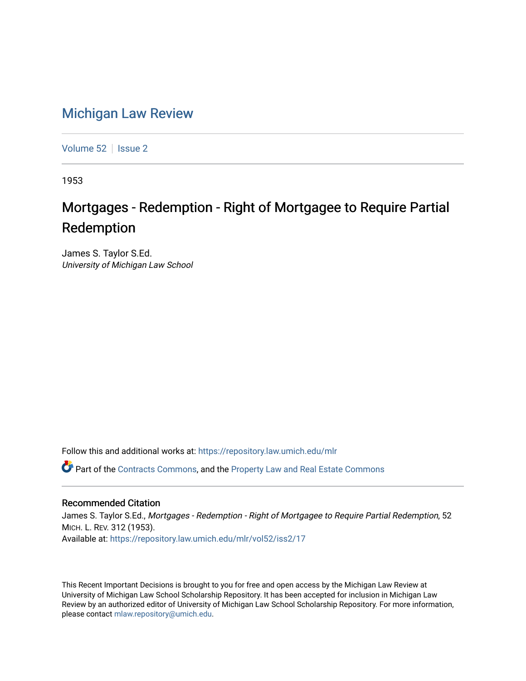## [Michigan Law Review](https://repository.law.umich.edu/mlr)

[Volume 52](https://repository.law.umich.edu/mlr/vol52) | [Issue 2](https://repository.law.umich.edu/mlr/vol52/iss2)

1953

## Mortgages - Redemption - Right of Mortgagee to Require Partial Redemption

James S. Taylor S.Ed. University of Michigan Law School

Follow this and additional works at: [https://repository.law.umich.edu/mlr](https://repository.law.umich.edu/mlr?utm_source=repository.law.umich.edu%2Fmlr%2Fvol52%2Fiss2%2F17&utm_medium=PDF&utm_campaign=PDFCoverPages) 

Part of the [Contracts Commons](http://network.bepress.com/hgg/discipline/591?utm_source=repository.law.umich.edu%2Fmlr%2Fvol52%2Fiss2%2F17&utm_medium=PDF&utm_campaign=PDFCoverPages), and the [Property Law and Real Estate Commons](http://network.bepress.com/hgg/discipline/897?utm_source=repository.law.umich.edu%2Fmlr%2Fvol52%2Fiss2%2F17&utm_medium=PDF&utm_campaign=PDFCoverPages) 

## Recommended Citation

James S. Taylor S.Ed., Mortgages - Redemption - Right of Mortgagee to Require Partial Redemption, 52 MICH. L. REV. 312 (1953). Available at: [https://repository.law.umich.edu/mlr/vol52/iss2/17](https://repository.law.umich.edu/mlr/vol52/iss2/17?utm_source=repository.law.umich.edu%2Fmlr%2Fvol52%2Fiss2%2F17&utm_medium=PDF&utm_campaign=PDFCoverPages) 

This Recent Important Decisions is brought to you for free and open access by the Michigan Law Review at University of Michigan Law School Scholarship Repository. It has been accepted for inclusion in Michigan Law Review by an authorized editor of University of Michigan Law School Scholarship Repository. For more information, please contact [mlaw.repository@umich.edu.](mailto:mlaw.repository@umich.edu)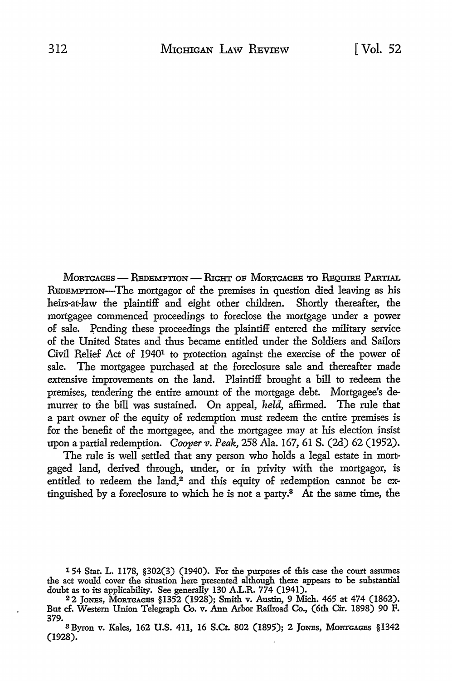MORTGAGES - REDEMPTION - RIGHT OF MORTGAGEE TO REOURE PARTIAL REDEMPTION-The mortgagor of the premises in question died leaving as his heirs-at-law the plaintiff and eight other children. Shortly thereafter, the mortgagee commenced proceedings *to* foreclose the mortgage under a power of sale. Pending these proceedings the plaintiff entered the military service of the United States and thus became entitled under the Soldiers and Sailors Civil Relief *Act* of 19401 to protection against the exercise of the power of sale. The mortgagee purchased at the foreclosure sale and thereafter made extensive improvements on the land. Plaintiff brought a bill *to* redeem the premises, tendering the entire amount of the mortgage debt. Mortgagee's demurrer to the bill was sustained. On appeal, *held,* affirmed. The rule that a part owner of the equity of redemption must redeem the entire premises is for the benefit of the mortgagee, and the mortgagee may at his election insist upon a partial redemption. *Cooper v. Peak,* 258 Ala. 167, 61 S. (2d) 62 (1952).

The rule is well settled that any person who holds a legal estate in mortgaged land, derived through, under, or in privity with the mortgagor, is entitled to redeem the land,<sup>2</sup> and this equity of redemption cannot be extinguished by a foreclosure to which he is not a party.3 *At* the same time, the

- 1 54 Stat. L. 1178, §302(3) (1940). For the purposes of this case the court assumes the act would cover the situation here presented although there appears to be substantial doubt as to its applicability. See generally 130 A.L.R. 774 (1941).
- 22 JoNEs, MORTGAGES §1352 (1928); Smith v. Austin, 9 Mich. 465 at 474 (1862). But cf. Western Union Telegraph Co. v. Ann Arbor Railroad Co., (6th Cir. 1898) 90 F.
- 379.<br><sup>3</sup> Byron v. Kales, 162 U.S. 411, 16 S.Ct. 802 (1895); 2 JONES, MORTGAGES §1342 (1928).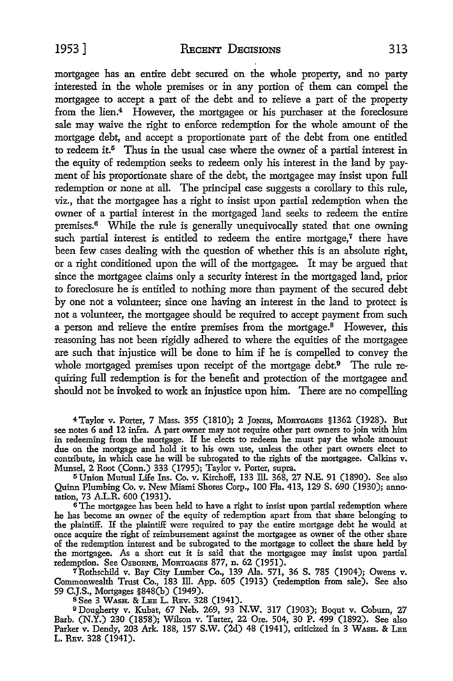mortgagee has an entire debt secured on the whole property, and no party interested in the whole premises or in any portion of them can compel the mortgagee to accept a part of the debt and to relieve a part of the property from the lien.<sup>4</sup> However, the mortgagee or his purchaser at the foreclosure sale may waive the right to enforce redemption for the whole amount of the mortgage debt, and accept a proportionate part of the debt from one entitled to redeem it.<sup>5</sup> Thus in the usual case where the owner of a partial interest in the equity of redemption seeks to redeem only his interest in the land by payment of his proportionate share of the debt, the mortgagee may insist upon full redemption or none at all. The principal case suggests a corollary to this rule, viz., that the mortgagee has a right to insist upon partial redemption when the owner of a partial interest in the mortgaged land seeks to redeem the entire premises.6 While the rule is generally unequivocally stated that one owning such partial interest is entitled to redeem the entire mortgage, $^7$  there have been few cases dealing with the question of whether this is an absolute right, or a right conditioned upon the will of the mortgagee. It may be argued that since the mortgagee claims only a security interest in the mortgaged land, prior to foreclosure he is entitled to nothing more than payment of the secured debt by one not a volunteer; since one having an interest in the land to protect is not a volunteer, the mortgagee should be required to accept payment from such a person and relieve the entire premises from the mortgage.<sup>8</sup> However, this reasoning has not been rigidly adhered to where the equities of the mortgagee are such that injustice will be done to him if he is compelled to convey the whole mortgaged premises upon receipt of the mortgage debt.<sup>9</sup> The rule requiring full redemption is for the benefit and protection of the mortgagee and should not be invoked to work an injustice upon him. There are no compelling

4Taylor v. Porter, 7 Mass. 355 (1810); 2 JoNEs, MORTGAGES §1362 (1928). But see notes 6 and 12 infra. A part owner may not require other part owners to join with him in redeeming from the mortgage. If he elects to redeem he must pay the whole amount due on the mortgage and hold it to his own use, unless the other part owners elect to contribute, in which case he will be subrogated to the rights of the mortgagee. Calkins v. Munsel, 2 Root (Conn.) 333 (1795); Taylor v. Porter, supra.

<sup>5</sup>Union Mutual Life Ins. Co. v. Kirchoff, 133 ill. 368, 27 N.E. 91 (1890). See also Quinn Plumbing Co. v. New Miami Shores Corp., 100 Fla. 413, 129 S. 690 (1930); annotation, 73 A.L.R. 600 (1931).

<sup>6</sup> The mortgagee has been held to have a right to insist upon partial redemption where he has become an owner of the equity of redemption apart from that share belonging to the plaintiff. If the plaintiff were required to pay the entire mortgage debt he would at once acquire the right of reimbursement against the mortgagee as owner of the other share of the redemption interest and be subrogated to the mortgage to collect the share held by the mortgagee. As a short cut it is said that the mortgagee may insist upon partial redemption. See OsBORNE, MORTGAGES 877, n. 62 (1951).

7Rothschild v. Bay City Lumber Co., 139 Ala. 571, 36 S. 785 (1904); Owens v. Commonwealth Trust Co., 183 Ill. App. 605 (1913) (redemption from sale). See also 59 **C.J.S.,** Mortgages §848(b) (1949).

SSee 3 WASH, & LEE L. REv. 328 (1941).

9Dougherty v. Kubat, 67 Neb. 269, 93 **N.W.** 317 (1903); Boqut v. Coburn, 27 Barb. (N.Y.) 230 (1858); Wilson v. Tarter, 22 Ore. 504, 30 P. 499 (1892). See also Parker v. Dendy, 203 Ark. 188, 157 S.W. (2d) 48 (1941), criticized in 3 WASH. & LEE L. REv. 328 (1941).